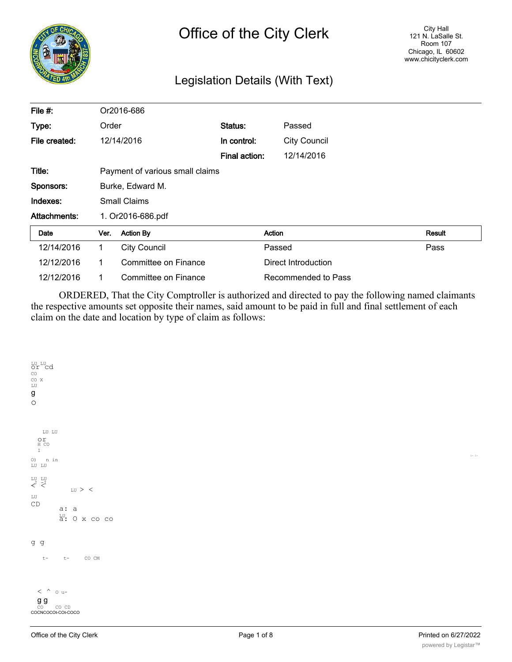

## Legislation Details (With Text)

| File $#$ :    | Or2016-686          |                                 |               |                     |        |  |  |
|---------------|---------------------|---------------------------------|---------------|---------------------|--------|--|--|
| Type:         | Order               |                                 | Status:       | Passed              |        |  |  |
| File created: |                     | 12/14/2016                      | In control:   | <b>City Council</b> |        |  |  |
|               |                     |                                 | Final action: | 12/14/2016          |        |  |  |
| Title:        |                     | Payment of various small claims |               |                     |        |  |  |
| Sponsors:     | Burke, Edward M.    |                                 |               |                     |        |  |  |
| Indexes:      | <b>Small Claims</b> |                                 |               |                     |        |  |  |
| Attachments:  |                     | 1. Or2016-686.pdf               |               |                     |        |  |  |
| Date          | Ver.                | <b>Action By</b>                |               | Action              | Result |  |  |
| 12/14/2016    | $\mathbf{1}$        | <b>City Council</b>             |               | Passed              | Pass   |  |  |
| 12/12/2016    | 1.                  | Committee on Finance            |               | Direct Introduction |        |  |  |
| 12/12/2016    | 1                   | Committee on Finance            |               | Recommended to Pass |        |  |  |

ORDERED, That the City Comptroller is authorized and directed to pay the following named claimants the respective amounts set opposite their names, said amount to be paid in full and final settlement of each claim on the date and location by type of claim as follows:



1- 1-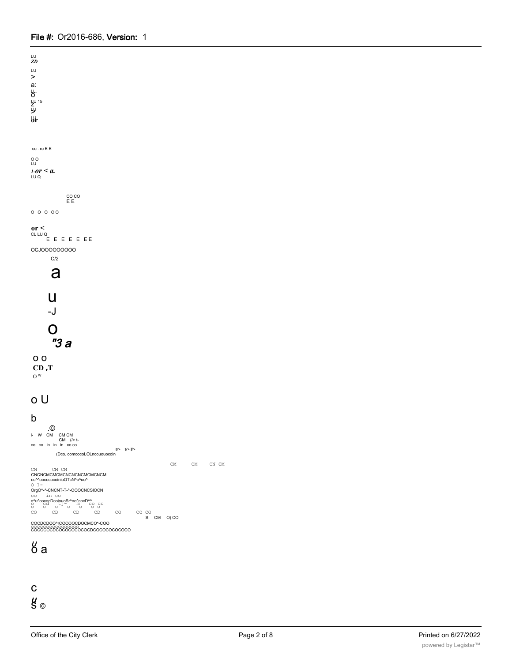



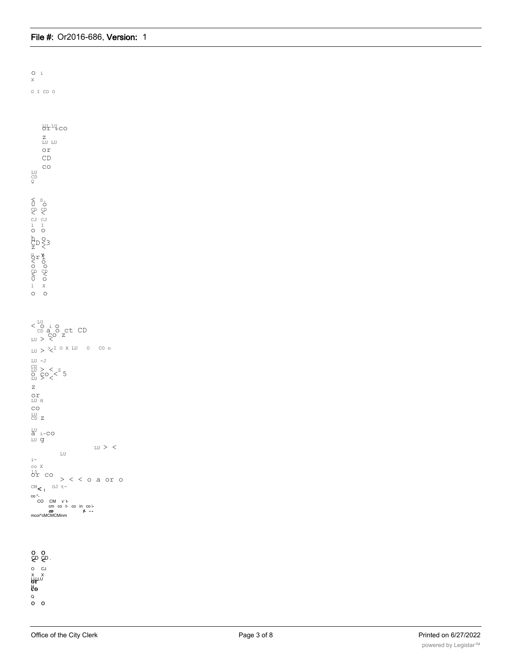| O i<br>Χ<br>O I CO O                                                                                                                                                                                                                                                                                                                                                                              |  |
|---------------------------------------------------------------------------------------------------------------------------------------------------------------------------------------------------------------------------------------------------------------------------------------------------------------------------------------------------------------------------------------------------|--|
|                                                                                                                                                                                                                                                                                                                                                                                                   |  |
| b <sup>u</sup> ruco<br>Ζ<br>rn rn<br>or<br>CD<br>CO<br>$\begin{array}{c} \text{LU} \\ \text{CD} \\ \text{Q} \end{array}$                                                                                                                                                                                                                                                                          |  |
| 1 X<br>$\circ$<br>$\circ$                                                                                                                                                                                                                                                                                                                                                                         |  |
| $<\begin{array}{l} \mathcal{L}^{\text{LU}}_{\text{CD} \text{ i } \text{ O}}\\ \mathcal{L}^{\text{CD} \text{ i } \text{ O}}\\ \text{LU} > \mathcal{L}^{\text{O} \text{ c}}\\ \end{array}$<br>$_{\text{LU}}$ > $\leq$ <sup>T</sup> O X LU O CO O<br>$\frac{10}{10}$ $\frac{10}{10}$ $\frac{10}{10}$ $\frac{10}{10}$ $\frac{10}{10}$ $\frac{-1}{10}$<br>Ζ<br>or<br>LU H<br>$\circ$<br>$_{CD}^{LU}$ z |  |
| LU<br>a<br>$i$ -CO<br>⊥∪y<br>$LU$ > <<br>LU<br>$i-$<br>co X<br>$b^3r$ co                                                                                                                                                                                                                                                                                                                          |  |
| $>$ < < $\circ$ a or $\circ$<br>$OJ$ t-<br>$\text{CM}_{\text{C}}$<br>co *-<br>CO<br>CM v <sup>t</sup> -<br>cm co t- co in co i-<br>œ<br>$\epsilon$<br>mcoi^cMCMCMinm                                                                                                                                                                                                                              |  |
| 0 0<br>დ დ .<br>0 <sub>c</sub><br>$\overset{x}{\mathbf{b}}\overset{x}{\mathbf{f}}$<br>Ĕо<br>Q<br>o<br>$\circ$                                                                                                                                                                                                                                                                                     |  |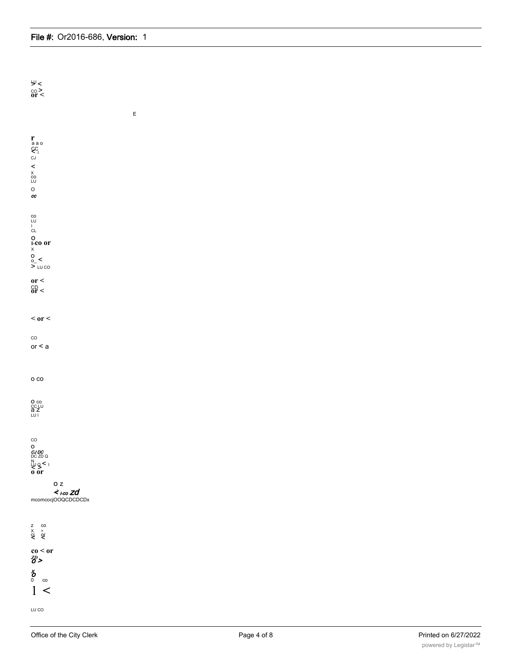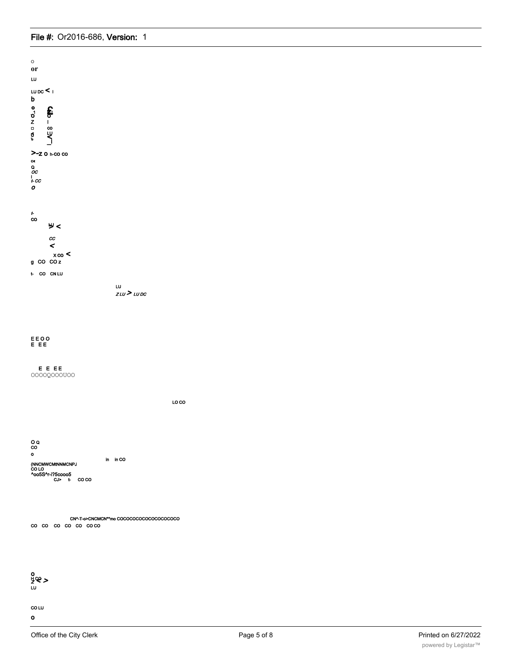

# EEOO<br>E EE

E E EE

0000Q000U00

LO CO

 $\frac{0}{00}$  $\ln$   $\ln$  CO (NNCMWCMtNNMCNPJ<br>CO LO<br>^005S^r-i?5cooo5<br>^005S^r-i?5cooo5  $\cos$ 

CNA-T-o>CNCMCN\*\*mo COCOCOCOCOCOCOCOCOCOCO co co co co co coco

ల<br>≵�><br>బ

**COLU**  $\mathbf{o}$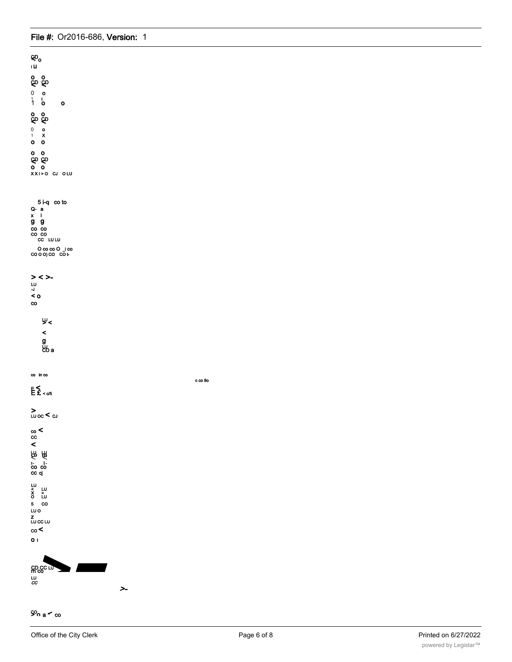| $\mathsf{S}^\mathsf{D}$                                                                 |         |
|-----------------------------------------------------------------------------------------|---------|
| īU.                                                                                     |         |
| ၉<br>၉၀                                                                                 |         |
| $\begin{matrix} 0 & \mathbf{0} \\ \mathbf{1} & \mathbf{0} \end{matrix}$<br>$\mathbf{o}$ |         |
| ၉<br>၉၀ ၉၀                                                                              |         |
| $0$ $\bullet$<br>$1 - X$<br>$0$ 0                                                       |         |
| $0$ 0                                                                                   |         |
| ပြောပြာ<br>၀၀<br>XXI>0 CJ OLU                                                           |         |
|                                                                                         |         |
| 5 i-q co to<br>$Q-a$                                                                    |         |
| $\begin{array}{cc} x & I \\ g & g \end{array}$                                          |         |
| တို့<br>တို့ တို့<br>တို့ ပေးပေး                                                        |         |
| <b>∞</b> ∟ O ∞ ∞ O<br>40၁ ၀၁(၀၀၀၁                                                       |         |
| $>$ < >-                                                                                |         |
| $\overline{a}$                                                                          |         |
| $\leq$ 0<br>$\bf{co}$                                                                   |         |
| ሦ<                                                                                      |         |
| $\,<$                                                                                   |         |
| g<br>Cb a                                                                               |         |
| $\infty$ in $\infty$                                                                    |         |
| $E \xi$ < $\omega$                                                                      | c co 9o |
| ><br>เม๐c < ๛                                                                           |         |
|                                                                                         |         |
|                                                                                         |         |
|                                                                                         |         |
| 88.45 V88<br>89.45 V88                                                                  |         |
|                                                                                         |         |
|                                                                                         |         |
|                                                                                         |         |
|                                                                                         |         |
|                                                                                         |         |
| <b>B</b><br>BOCLU                                                                       |         |
| $\geq$                                                                                  |         |
|                                                                                         |         |

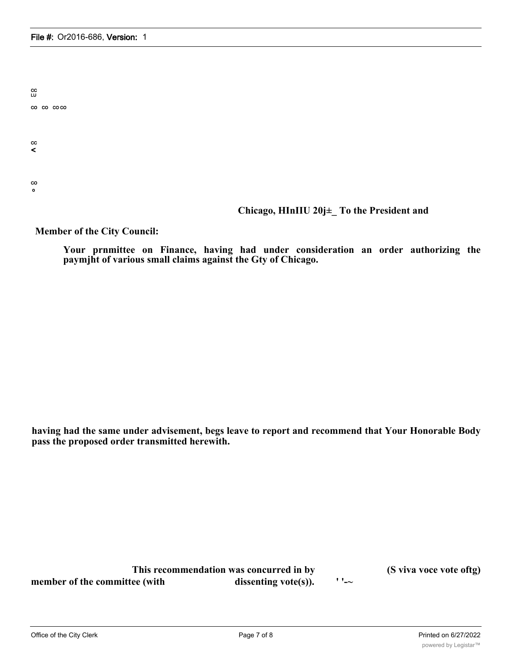CC LU CO CO CO CO CC  $\prec$ CO o

**Chicago, HInIIU 20j±\_ To the President and**

**Member of the City Council:**

**Your prnmittee on Finance, having had under consideration an order authorizing the paymjht of various small claims against the Gty of Chicago.**

**having had the same under advisement, begs leave to report and recommend that Your Honorable Body pass the proposed order transmitted herewith.**

| This recommendation was concurred in by | (S viva voce vote oftg) |  |  |
|-----------------------------------------|-------------------------|--|--|
| member of the committee (with           | dissenting vote(s)).    |  |  |